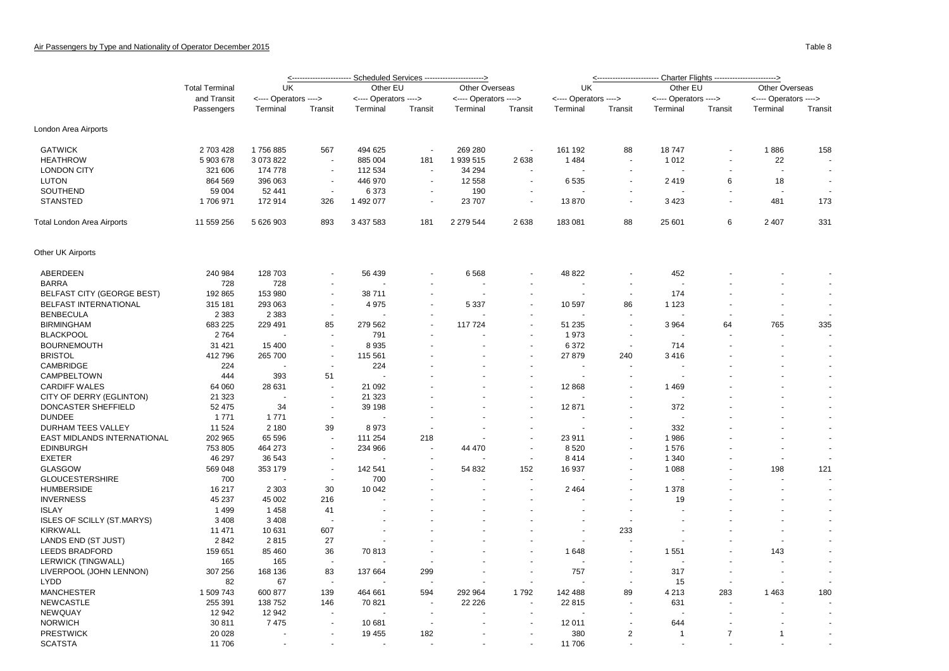|                                   | <b>Total Terminal</b><br>and Transit<br>Passengers | UK                    |                          | Other EU              |                          | Other Overseas        |                          | UK                       |                          | Other EU              |                | Other Overseas        |                          |  |
|-----------------------------------|----------------------------------------------------|-----------------------|--------------------------|-----------------------|--------------------------|-----------------------|--------------------------|--------------------------|--------------------------|-----------------------|----------------|-----------------------|--------------------------|--|
|                                   |                                                    | <---- Operators ----> |                          | <---- Operators ----> |                          | <---- Operators ----> |                          | <---- Operators ---->    |                          | <---- Operators ----> |                | <---- Operators ----> |                          |  |
|                                   |                                                    | Terminal              | Transit                  | Terminal              | Transit                  | Terminal              | Transit                  | Terminal                 | Transit                  | Terminal              | Transit        | Terminal              | Transit                  |  |
| London Area Airports              |                                                    |                       |                          |                       |                          |                       |                          |                          |                          |                       |                |                       |                          |  |
| <b>GATWICK</b>                    | 2 703 428                                          | 1756885               | 567                      | 494 625               | $\overline{\phantom{a}}$ | 269 280               | $\overline{\phantom{a}}$ | 161 192                  | 88                       | 18747                 |                | 1886                  | 158                      |  |
| <b>HEATHROW</b>                   | 5 903 678                                          | 3 073 822             |                          | 885 004               | 181                      | 1 939 515             | 2638                     | 1 4 8 4                  |                          | 1 0 1 2               |                | 22                    |                          |  |
| <b>LONDON CITY</b>                | 321 606                                            | 174 778               | $\overline{\phantom{a}}$ | 112 534               | ÷.                       | 34 294                |                          | $\overline{\phantom{a}}$ | ٠                        |                       |                |                       | $\blacksquare$           |  |
| <b>LUTON</b>                      | 864 569                                            | 396 063               |                          | 446 970               | $\overline{a}$           | 12 558                | ä,                       | 6535                     | $\sim$                   | 2419                  | 6              | 18                    | $\blacksquare$           |  |
| SOUTHEND                          | 59 004                                             | 52 441                | $\blacksquare$           | 6 3 7 3               |                          | 190                   |                          |                          |                          |                       |                |                       |                          |  |
| <b>STANSTED</b>                   | 1706971                                            | 172 914               | 326                      | 1 492 077             | $\overline{\phantom{a}}$ | 23 707                | $\blacksquare$           | 13870                    | ٠                        | 3423                  |                | 481                   | 173                      |  |
| Total London Area Airports        | 11 559 256                                         | 5 626 903             | 893                      | 3 437 583             | 181                      | 2 279 544             | 2638                     | 183 081                  | 88                       | 25 601                | 6              | 2 4 0 7               | 331                      |  |
| Other UK Airports                 |                                                    |                       |                          |                       |                          |                       |                          |                          |                          |                       |                |                       |                          |  |
| ABERDEEN                          | 240 984                                            | 128 703               |                          | 56 439                |                          | 6568                  |                          | 48 822                   |                          | 452                   |                |                       |                          |  |
| <b>BARRA</b>                      | 728                                                | 728                   |                          |                       | ÷.                       |                       | ÷                        |                          | $\overline{a}$           |                       |                |                       |                          |  |
| <b>BELFAST CITY (GEORGE BEST)</b> | 192 865                                            | 153 980               |                          | 38711                 | ÷.                       |                       |                          |                          | $\overline{\phantom{a}}$ | 174                   |                |                       |                          |  |
| BELFAST INTERNATIONAL             | 315 181                                            | 293 063               |                          | 4975                  |                          | 5 3 3 7               | $\sim$                   | 10 597                   | 86                       | 1 1 2 3               |                |                       |                          |  |
| <b>BENBECULA</b>                  | 2 3 8 3                                            | 2 3 8 3               | $\sim$                   |                       | $\sim$                   |                       | ä,                       |                          |                          |                       |                | $\ddot{\phantom{1}}$  |                          |  |
| <b>BIRMINGHAM</b>                 | 683 225                                            | 229 491               | 85                       | 279 562               |                          | 117724                |                          | 51 235                   |                          | 3 9 6 4               | 64             | 765                   | 335                      |  |
| <b>BLACKPOOL</b>                  | 2764                                               |                       |                          | 791                   |                          |                       | $\blacksquare$           | 1973                     | $\overline{\phantom{a}}$ |                       |                |                       | $\sim$                   |  |
| <b>BOURNEMOUTH</b>                | 31 4 21                                            | 15 400                |                          | 8935                  |                          |                       | $\blacksquare$           | 6 3 7 2                  | $\overline{\phantom{a}}$ | 714                   |                |                       | $\blacksquare$           |  |
| <b>BRISTOL</b>                    | 412796                                             | 265 700               |                          | 115 561               |                          |                       |                          | 27 879                   | 240                      | 3416                  |                |                       |                          |  |
| CAMBRIDGE                         | 224                                                |                       |                          | 224                   |                          |                       |                          |                          | ٠                        |                       |                |                       | $\overline{\phantom{a}}$ |  |
| CAMPBELTOWN                       | 444                                                | 393                   | 51                       |                       |                          |                       |                          |                          |                          |                       |                |                       | $\blacksquare$           |  |
| <b>CARDIFF WALES</b>              | 64 060                                             | 28 631                |                          | 21 092                |                          |                       |                          | 12 8 68                  |                          | 1469                  |                |                       | $\sim$                   |  |
| CITY OF DERRY (EGLINTON)          | 21 3 23                                            |                       |                          | 21 3 23               |                          |                       | $\blacksquare$           |                          |                          |                       |                |                       | $\blacksquare$           |  |
| DONCASTER SHEFFIELD               | 52 475                                             | 34                    |                          | 39 198                |                          |                       | $\sim$                   | 12 871                   |                          | 372                   |                |                       | $\sim$                   |  |
| <b>DUNDEE</b>                     | 1 7 7 1                                            | 1 7 7 1               |                          |                       |                          |                       | $\blacksquare$           |                          |                          |                       |                |                       |                          |  |
| DURHAM TEES VALLEY                | 11 524                                             | 2 1 8 0               | 39                       | 8973                  | $\sim$                   |                       | $\blacksquare$           |                          |                          | 332                   |                |                       | $\overline{\phantom{a}}$ |  |
| EAST MIDLANDS INTERNATIONAL       | 202 965                                            | 65 596                |                          | 111 254               | 218                      |                       | $\overline{\phantom{a}}$ | 23 911                   |                          | 1986                  |                |                       | $\overline{\phantom{a}}$ |  |
| <b>EDINBURGH</b>                  | 753 805                                            | 464 273               |                          | 234 966               | $\sim$                   | 44 470                | $\sim$                   | 8520                     |                          | 1576                  |                | $\ddot{\phantom{1}}$  | $\sim$                   |  |
| <b>EXETER</b>                     | 46 297                                             | 36 543                |                          |                       |                          |                       | $\sim$                   | 8414                     | ÷,                       | 1 3 4 0               |                |                       |                          |  |
| <b>GLASGOW</b>                    | 569 048                                            | 353 179               |                          | 142 541               |                          | 54 832                | 152                      | 16 937                   | ٠                        | 1 0 8 8               |                | 198                   | 121                      |  |
| <b>GLOUCESTERSHIRE</b>            | 700                                                |                       |                          | 700                   |                          |                       | ÷.                       |                          |                          |                       |                |                       | $\sim$                   |  |
| <b>HUMBERSIDE</b>                 | 16 217                                             |                       | 30                       | 10 042                |                          |                       |                          | 2 4 6 4                  |                          | 1 3 7 8               |                |                       |                          |  |
|                                   |                                                    | 2 3 0 3               |                          |                       |                          |                       |                          |                          | $\overline{a}$           |                       |                |                       | $\sim$                   |  |
| <b>INVERNESS</b>                  | 45 237                                             | 45 002                | 216                      |                       |                          |                       | $\blacksquare$           |                          |                          | 19                    |                |                       |                          |  |
| <b>ISLAY</b>                      | 1499                                               | 1458                  | 41                       |                       |                          |                       |                          |                          |                          |                       |                |                       |                          |  |
| <b>ISLES OF SCILLY (ST.MARYS)</b> | 3 4 0 8                                            | 3 4 0 8               |                          |                       |                          |                       |                          |                          |                          |                       |                |                       |                          |  |
| <b>KIRKWALL</b>                   | 11 471                                             | 10 631                | 607                      |                       |                          |                       |                          |                          | 233                      |                       |                |                       | $\sim$                   |  |
| LANDS END (ST JUST)               | 2842                                               | 2815                  | 27                       |                       |                          |                       |                          |                          |                          |                       |                |                       |                          |  |
| <b>LEEDS BRADFORD</b>             | 159 651                                            | 85 460                | 36                       | 70813                 |                          |                       |                          | 1648                     |                          | 1 5 5 1               |                | 143                   |                          |  |
| LERWICK (TINGWALL)                | 165                                                | 165                   |                          |                       |                          |                       |                          |                          | ÷.                       |                       |                |                       | $\sim$                   |  |
| LIVERPOOL (JOHN LENNON)           | 307 256                                            | 168 136               | 83                       | 137 664               | 299                      |                       | $\blacksquare$           | 757                      | $\overline{\phantom{a}}$ | 317                   |                |                       | $\overline{\phantom{a}}$ |  |
| <b>LYDD</b>                       | 82                                                 | 67                    | $\overline{\phantom{a}}$ |                       |                          |                       | $\blacksquare$           |                          | ٠                        | 15                    |                |                       |                          |  |
| <b>MANCHESTER</b>                 | 1 509 743                                          | 600 877               | 139                      | 464 661               | 594                      | 292 964               | 1792                     | 142 488                  | 89                       | 4 2 1 3               | 283            | 1463                  | 180                      |  |
| <b>NEWCASTLE</b>                  | 255 391                                            | 138 752               | 146                      | 70 821                | $\sim$                   | 22 2 2 6              | $\overline{a}$           | 22 815                   | $\overline{a}$           | 631                   |                |                       |                          |  |
| NEWQUAY                           | 12 942                                             | 12 942                |                          |                       | $\sim$                   |                       | ä,                       |                          |                          |                       |                |                       |                          |  |
| <b>NORWICH</b>                    | 30 811                                             | 7475                  |                          | 10 681                |                          |                       |                          | 12 011                   |                          | 644                   |                |                       |                          |  |
| <b>PRESTWICK</b>                  | 20 0 28                                            |                       |                          | 19 455                | 182                      |                       |                          | 380                      | 2                        | $\mathbf{1}$          | $\overline{7}$ | $\mathbf 1$           |                          |  |
| <b>SCATSTA</b>                    | 11 706                                             | $\sim$                |                          |                       | $\sim$                   |                       | $\sim$                   | 11 706                   |                          |                       |                |                       | $\mathbf{r}$             |  |